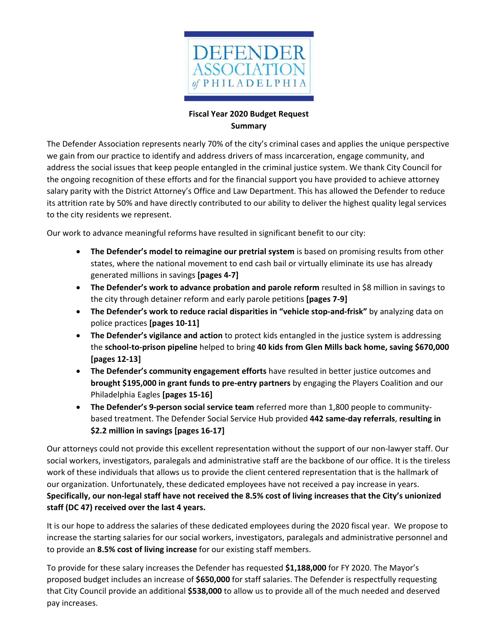

## **Fiscal Year 2020 Budget Request Summary**

The Defender Association represents nearly 70% of the city's criminal cases and applies the unique perspective we gain from our practice to identify and address drivers of mass incarceration, engage community, and address the social issues that keep people entangled in the criminal justice system. We thank City Council for the ongoing recognition of these efforts and for the financial support you have provided to achieve attorney salary parity with the District Attorney's Office and Law Department. This has allowed the Defender to reduce its attrition rate by 50% and have directly contributed to our ability to deliver the highest quality legal services to the city residents we represent.

Our work to advance meaningful reforms have resulted in significant benefit to our city:

- **The Defender's model to reimagine our pretrial system** is based on promising results from other states, where the national movement to end cash bail or virtually eliminate its use has already generated millions in savings **[pages 4‐7]**
- **The Defender's work to advance probation and parole reform** resulted in \$8 million in savings to the city through detainer reform and early parole petitions **[pages 7‐9]**
- **The Defender's work to reduce racial disparities in "vehicle stop‐and‐frisk"** by analyzing data on police practices **[pages 10‐11]**
- **The Defender's vigilance and action** to protect kids entangled in the justice system is addressing the **school‐to‐prison pipeline** helped to bring **40 kids from Glen Mills back home, saving \$670,000 [pages 12‐13]**
- **The Defender's community engagement efforts** have resulted in better justice outcomes and **brought \$195,000 in grant funds to pre‐entry partners** by engaging the Players Coalition and our Philadelphia Eagles **[pages 15‐16]**
- **The Defender's 9‐person social service team** referred more than 1,800 people to community‐ based treatment. The Defender Social Service Hub provided **442 same‐day referrals**, **resulting in \$2.2 million in savings [pages 16‐17]**

Our attorneys could not provide this excellent representation without the support of our non‐lawyer staff. Our social workers, investigators, paralegals and administrative staff are the backbone of our office. It is the tireless work of these individuals that allows us to provide the client centered representation that is the hallmark of our organization. Unfortunately, these dedicated employees have not received a pay increase in years. Specifically, our non-legal staff have not received the 8.5% cost of living increases that the City's unionized **staff (DC 47) received over the last 4 years.**

It is our hope to address the salaries of these dedicated employees during the 2020 fiscal year. We propose to increase the starting salaries for our social workers, investigators, paralegals and administrative personnel and to provide an **8.5% cost of living increase** for our existing staff members.

To provide for these salary increases the Defender has requested **\$1,188,000** for FY 2020. The Mayor's proposed budget includes an increase of **\$650,000** for staff salaries. The Defender is respectfully requesting that City Council provide an additional **\$538,000** to allow us to provide all of the much needed and deserved pay increases.